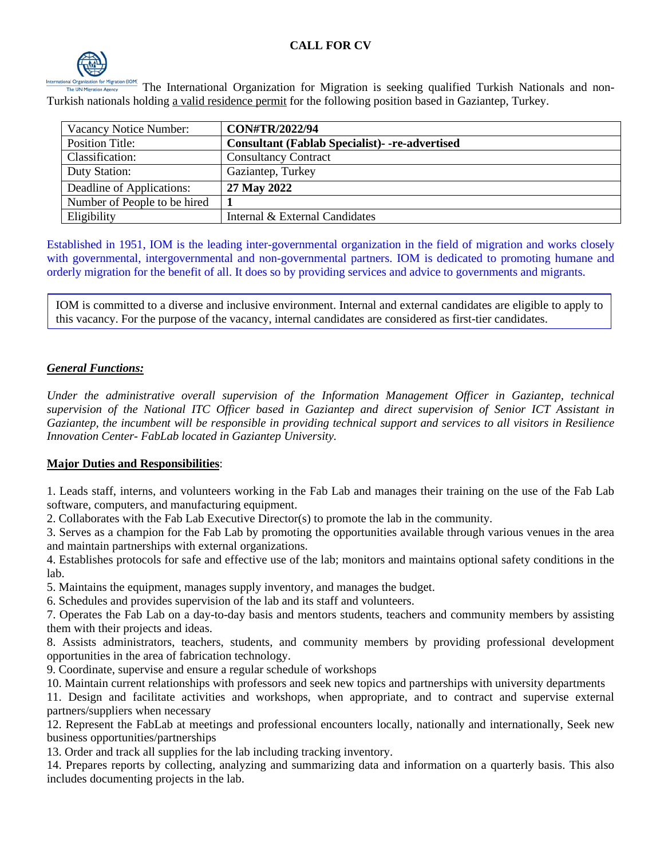

The International Organization for Migration is seeking qualified Turkish Nationals and non-Turkish nationals holding a valid residence permit for the following position based in Gaziantep, Turkey.

| Vacancy Notice Number:       | <b>CON#TR/2022/94</b>                                |
|------------------------------|------------------------------------------------------|
| <b>Position Title:</b>       | <b>Consultant (Fablab Specialist)--re-advertised</b> |
| Classification:              | <b>Consultancy Contract</b>                          |
| Duty Station:                | Gaziantep, Turkey                                    |
| Deadline of Applications:    | 27 May 2022                                          |
| Number of People to be hired |                                                      |
| Eligibility                  | Internal & External Candidates                       |

Established in 1951, IOM is the leading inter-governmental organization in the field of migration and works closely with governmental, intergovernmental and non-governmental partners. IOM is dedicated to promoting humane and orderly migration for the benefit of all. It does so by providing services and advice to governments and migrants.

IOM is committed to a diverse and inclusive environment. Internal and external candidates are eligible to apply to this vacancy. For the purpose of the vacancy, internal candidates are considered as first-tier candidates.

## *General Functions:*

*Under the administrative overall supervision of the Information Management Officer in Gaziantep, technical supervision of the National ITC Officer based in Gaziantep and direct supervision of Senior ICT Assistant in Gaziantep, the incumbent will be responsible in providing technical support and services to all visitors in Resilience Innovation Center- FabLab located in Gaziantep University.*

## **Major Duties and Responsibilities**:

1. Leads staff, interns, and volunteers working in the Fab Lab and manages their training on the use of the Fab Lab software, computers, and manufacturing equipment.

2. Collaborates with the Fab Lab Executive Director(s) to promote the lab in the community.

3. Serves as a champion for the Fab Lab by promoting the opportunities available through various venues in the area and maintain partnerships with external organizations.

4. Establishes protocols for safe and effective use of the lab; monitors and maintains optional safety conditions in the lab.

5. Maintains the equipment, manages supply inventory, and manages the budget.

6. Schedules and provides supervision of the lab and its staff and volunteers.

7. Operates the Fab Lab on a day-to-day basis and mentors students, teachers and community members by assisting them with their projects and ideas.

8. Assists administrators, teachers, students, and community members by providing professional development opportunities in the area of fabrication technology.

9. Coordinate, supervise and ensure a regular schedule of workshops

10. Maintain current relationships with professors and seek new topics and partnerships with university departments

11. Design and facilitate activities and workshops, when appropriate, and to contract and supervise external partners/suppliers when necessary

12. Represent the FabLab at meetings and professional encounters locally, nationally and internationally, Seek new business opportunities/partnerships

13. Order and track all supplies for the lab including tracking inventory.

14. Prepares reports by collecting, analyzing and summarizing data and information on a quarterly basis. This also includes documenting projects in the lab.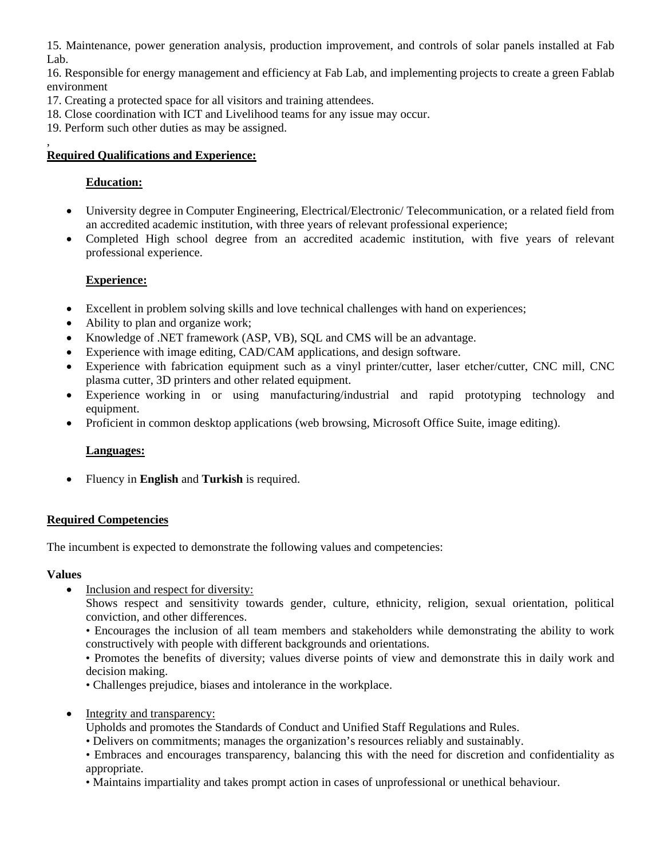15. Maintenance, power generation analysis, production improvement, and controls of solar panels installed at Fab Lab.

16. Responsible for energy management and efficiency at Fab Lab, and implementing projects to create a green Fablab environment

- 17. Creating a protected space for all visitors and training attendees.
- 18. Close coordination with ICT and Livelihood teams for any issue may occur.
- 19. Perform such other duties as may be assigned.

#### , **Required Qualifications and Experience:**

# **Education:**

- University degree in Computer Engineering, Electrical/Electronic/ Telecommunication, or a related field from an accredited academic institution, with three years of relevant professional experience;
- Completed High school degree from an accredited academic institution, with five years of relevant professional experience.

# **Experience:**

- Excellent in problem solving skills and love technical challenges with hand on experiences;
- Ability to plan and organize work;
- Knowledge of .NET framework (ASP, VB), SQL and CMS will be an advantage.
- Experience with image editing, CAD/CAM applications, and design software.
- Experience with fabrication equipment such as a vinyl printer/cutter, laser etcher/cutter, CNC mill, CNC plasma cutter, 3D printers and other related equipment.
- Experience working in or using manufacturing/industrial and rapid prototyping technology and equipment.
- Proficient in common desktop applications (web browsing, Microsoft Office Suite, image editing).

## **Languages:**

• Fluency in **English** and **Turkish** is required.

## **Required Competencies**

The incumbent is expected to demonstrate the following values and competencies:

## **Values**

• Inclusion and respect for diversity:

Shows respect and sensitivity towards gender, culture, ethnicity, religion, sexual orientation, political conviction, and other differences.

• Encourages the inclusion of all team members and stakeholders while demonstrating the ability to work constructively with people with different backgrounds and orientations.

• Promotes the benefits of diversity; values diverse points of view and demonstrate this in daily work and decision making.

- Challenges prejudice, biases and intolerance in the workplace.
- Integrity and transparency:
	- Upholds and promotes the Standards of Conduct and Unified Staff Regulations and Rules.
	- Delivers on commitments; manages the organization's resources reliably and sustainably.

• Embraces and encourages transparency, balancing this with the need for discretion and confidentiality as appropriate.

• Maintains impartiality and takes prompt action in cases of unprofessional or unethical behaviour.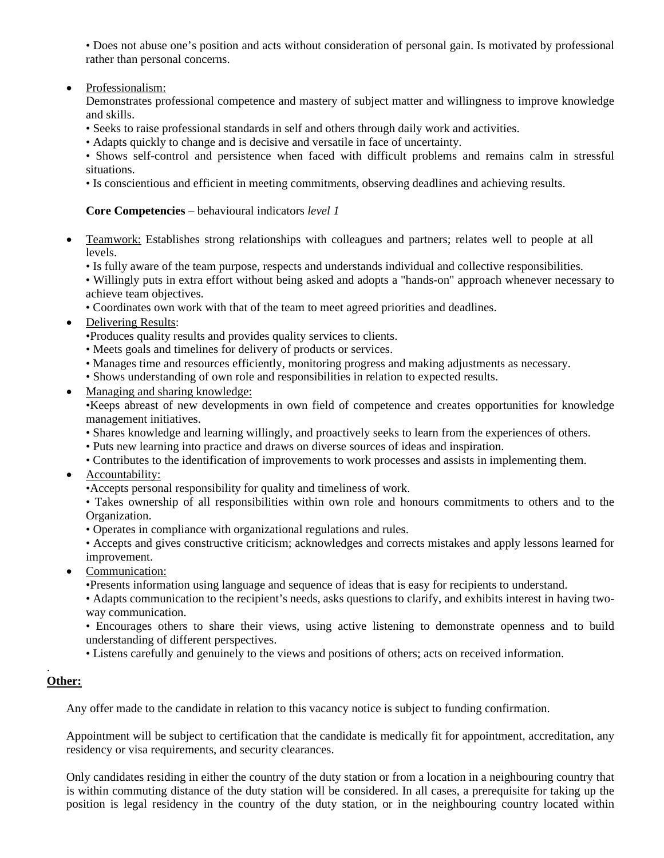• Does not abuse one's position and acts without consideration of personal gain. Is motivated by professional rather than personal concerns.

#### • Professionalism:

Demonstrates professional competence and mastery of subject matter and willingness to improve knowledge and skills.

• Seeks to raise professional standards in self and others through daily work and activities.

• Adapts quickly to change and is decisive and versatile in face of uncertainty.

• Shows self-control and persistence when faced with difficult problems and remains calm in stressful situations.

• Is conscientious and efficient in meeting commitments, observing deadlines and achieving results.

#### **Core Competencies** – behavioural indicators *level 1*

- Teamwork: Establishes strong relationships with colleagues and partners; relates well to people at all levels.
	- Is fully aware of the team purpose, respects and understands individual and collective responsibilities.

• Willingly puts in extra effort without being asked and adopts a "hands-on" approach whenever necessary to achieve team objectives.

- Coordinates own work with that of the team to meet agreed priorities and deadlines.
- Delivering Results:
	- •Produces quality results and provides quality services to clients.
	- Meets goals and timelines for delivery of products or services.
	- Manages time and resources efficiently, monitoring progress and making adjustments as necessary.
	- Shows understanding of own role and responsibilities in relation to expected results.
- Managing and sharing knowledge:

•Keeps abreast of new developments in own field of competence and creates opportunities for knowledge management initiatives.

- Shares knowledge and learning willingly, and proactively seeks to learn from the experiences of others.
- Puts new learning into practice and draws on diverse sources of ideas and inspiration.
- Contributes to the identification of improvements to work processes and assists in implementing them.
- Accountability:
	- •Accepts personal responsibility for quality and timeliness of work.

• Takes ownership of all responsibilities within own role and honours commitments to others and to the Organization.

• Operates in compliance with organizational regulations and rules.

• Accepts and gives constructive criticism; acknowledges and corrects mistakes and apply lessons learned for improvement.

• Communication:

•Presents information using language and sequence of ideas that is easy for recipients to understand.

• Adapts communication to the recipient's needs, asks questions to clarify, and exhibits interest in having twoway communication.

• Encourages others to share their views, using active listening to demonstrate openness and to build understanding of different perspectives.

• Listens carefully and genuinely to the views and positions of others; acts on received information.

#### . **Other:**

Any offer made to the candidate in relation to this vacancy notice is subject to funding confirmation.

Appointment will be subject to certification that the candidate is medically fit for appointment, accreditation, any residency or visa requirements, and security clearances.

Only candidates residing in either the country of the duty station or from a location in a neighbouring country that is within commuting distance of the duty station will be considered. In all cases, a prerequisite for taking up the position is legal residency in the country of the duty station, or in the neighbouring country located within